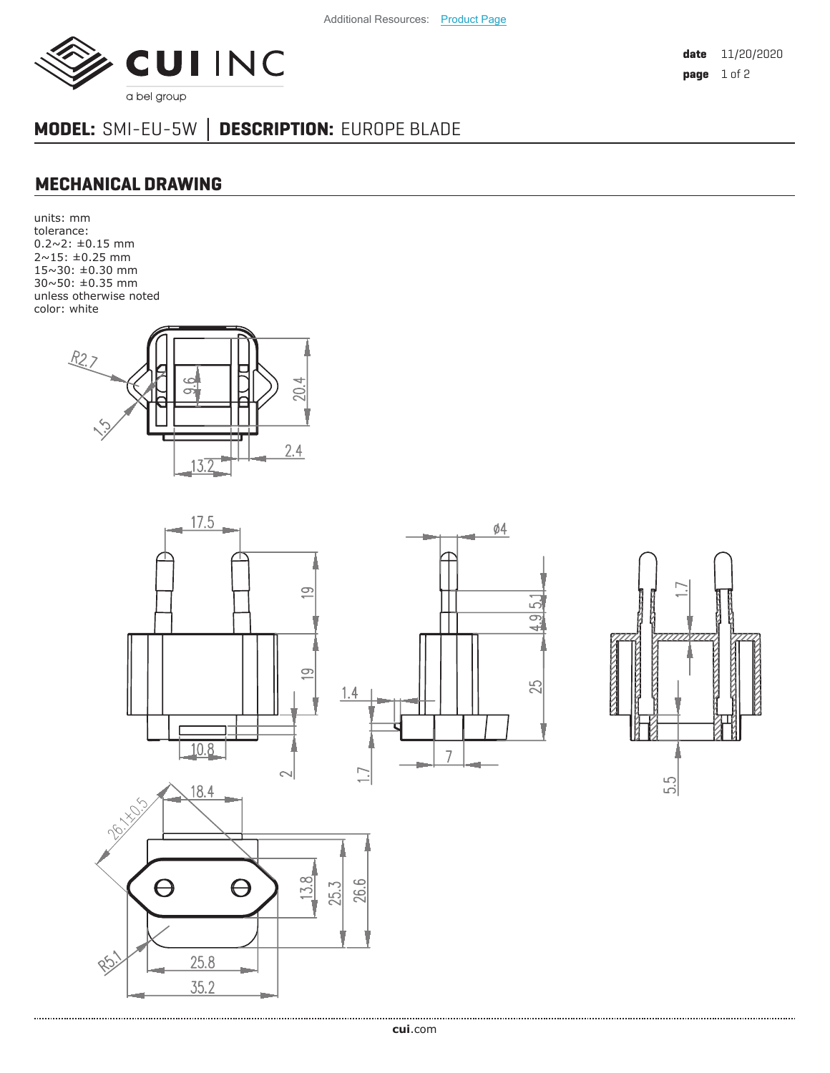

**date** 11/20/2020 **page** 1 of 2

## **MODEL:** SMI-EU-5W **│ DESCRIPTION:** EUROPE BLADE

## **MECHANICAL DRAWING**

units: mm tolerance:  $0.2 \sim 2$ :  $\pm 0.15$  mm 2~15: ±0.25 mm 15~30: ±0.30 mm 30~50: ±0.35 mm unless otherwise noted color: white